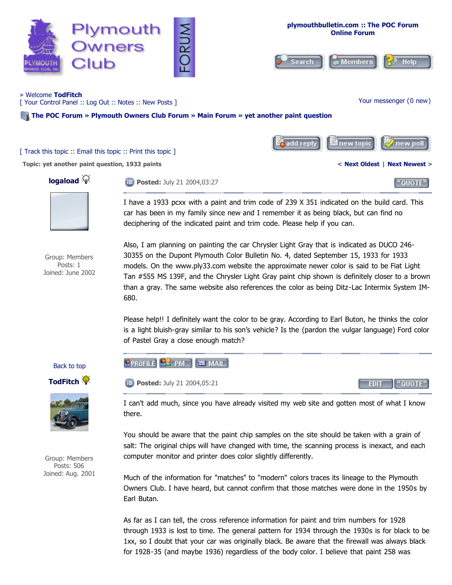

car has been in my family since new and I remember it as being black, but can find no deciphering of the indicated paint and trim code. Please help if you can.

Group: Members Posts: 1 Joined: June 2002 Also, I am planning on painting the car Chrysler Light Gray that is indicated as DUCO 246- 30355 on the Dupont Plymouth Color Bulletin No. 4, dated September 15, 1933 for 1933 models. On the www.ply33.com website the approximate newer color is said to be Fiat Light Tan #555 MS 139F, and the Chrysler Light Gray paint chip shown is definitely closer to a brown than a gray. The same website also references the color as being Ditz-Lac Intermix System IM-680.

Please help!! I definitely want the color to be gray. According to Earl Buton, he thinks the color is a light bluish-gray similar to his son's vehicle? Is the (pardon the vulgar language) Ford color of Pastel Gray a close enough match?



Group: Members Posts: 506 Joined: Aug. 2001 I can't add much, since you have already visited my web site and gotten most of what I know there.

You should be aware that the paint chip samples on the site should be taken with a grain of salt: The original chips will have changed with time, the scanning process is inexact, and each computer monitor and printer does color slightly differently.

Much of the information for "matches" to "modern" colors traces its lineage to the Plymouth Owners Club. I have heard, but cannot confirm that those matches were done in the 1950s by Earl Butan.

As far as I can tell, the cross reference information for paint and trim numbers for 1928 through 1933 is lost to time. The general pattern for 1934 through the 1930s is for black to be 1xx, so I doubt that your car was originally black. Be aware that the firewall was always black for 1928-35 (and maybe 1936) regardless of the body color. I believe that paint 258 was

Back to top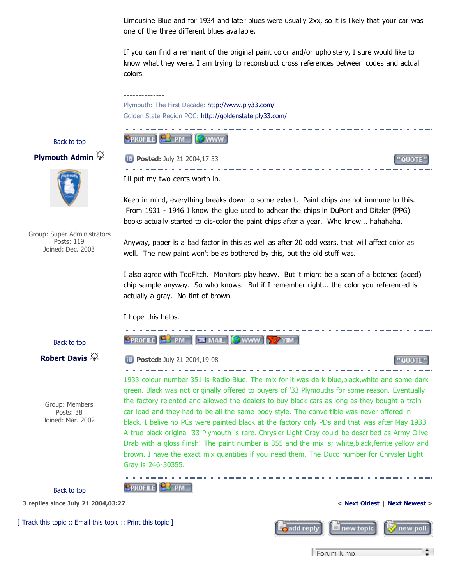Limousine Blue and for 1934 and later blues were usually 2xx, so it is likely that your car was one of the three different blues available.

If you can find a remnant of the original paint color and/or upholstery, I sure would like to know what they were. I am trying to reconstruct cross references between codes and actual colors.

Plymouth: The First Decade: http://www.ply33.com/ Golden State Region POC: http://goldenstate.ply33.com/

#### Back to top

# **PROFILE FOR IS WWW**

**<sup><b>Posted:** July 21 2004,17:33</sup>

I'll put my two cents worth in.

--------------

#### **Plymouth Admin**



Group: Super Administrators Posts: 119 Joined: Dec. 2003

books actually started to dis-color the paint chips after a year. Who knew... hahahaha. Anyway, paper is a bad factor in this as well as after 20 odd years, that will affect color as

Keep in mind, everything breaks down to some extent. Paint chips are not immune to this. From 1931 - 1946 I know the glue used to adhear the chips in DuPont and Ditzler (PPG)

well. The new paint won't be as bothered by this, but the old stuff was.

I also agree with TodFitch. Monitors play heavy. But it might be a scan of a botched (aged) chip sample anyway. So who knows. But if I remember right... the color you referenced is actually a gray. No tint of brown.

I hope this helps.

**OPROFILE PM** 

### Back to top



Group: Members Posts: 38 Joined: Mar. 2002

**CPROFILE C** PM EN MAIL SWWW 37 YIM

**Posted:** July 21 2004,19:08

1933 colour number 351 is Radio Blue. The mix for it was dark blue,black,white and some dark green. Black was not originally offered to buyers of '33 Plymouths for some reason. Eventually the factory relented and allowed the dealers to buy black cars as long as they bought a train car load and they had to be all the same body style. The convertible was never offered in black. I belive no PCs were painted black at the factory only PDs and that was after May 1933. A true black original '33 Plymouth is rare. Chrysler Light Gray could be described as Army Olive Drab with a gloss fiinsh! The paint number is 355 and the mix is; white,black,ferrite yellow and brown. I have the exact mix quantities if you need them. The Duco number for Chrysler Light Gray is 246-30355.

Back to top

**3 replies since July 21 2004,03:27 < Next Oldest | Next Newest >**

[ Track this topic :: Email this topic :: Print this topic ]



Forum Jump

"OUOTE"

"QUOTE"